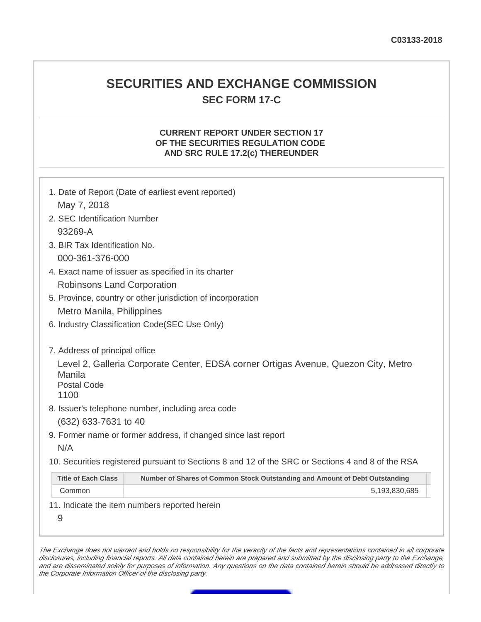## **SECURITIES AND EXCHANGE COMMISSION SEC FORM 17-C**

## **CURRENT REPORT UNDER SECTION 17 OF THE SECURITIES REGULATION CODE AND SRC RULE 17.2(c) THEREUNDER**

|                                                                                                       | 1. Date of Report (Date of earliest event reported)                                                                                                                                                                                                                                                            |  |  |  |
|-------------------------------------------------------------------------------------------------------|----------------------------------------------------------------------------------------------------------------------------------------------------------------------------------------------------------------------------------------------------------------------------------------------------------------|--|--|--|
| May 7, 2018                                                                                           |                                                                                                                                                                                                                                                                                                                |  |  |  |
| 2. SEC Identification Number                                                                          |                                                                                                                                                                                                                                                                                                                |  |  |  |
| 93269-A                                                                                               |                                                                                                                                                                                                                                                                                                                |  |  |  |
| 3. BIR Tax Identification No.                                                                         |                                                                                                                                                                                                                                                                                                                |  |  |  |
| 000-361-376-000                                                                                       |                                                                                                                                                                                                                                                                                                                |  |  |  |
| 4. Exact name of issuer as specified in its charter                                                   |                                                                                                                                                                                                                                                                                                                |  |  |  |
| Robinsons Land Corporation                                                                            |                                                                                                                                                                                                                                                                                                                |  |  |  |
| 5. Province, country or other jurisdiction of incorporation                                           |                                                                                                                                                                                                                                                                                                                |  |  |  |
| Metro Manila, Philippines                                                                             |                                                                                                                                                                                                                                                                                                                |  |  |  |
| 6. Industry Classification Code(SEC Use Only)                                                         |                                                                                                                                                                                                                                                                                                                |  |  |  |
| 7. Address of principal office<br>Manila<br><b>Postal Code</b><br>1100<br>(632) 633-7631 to 40<br>N/A | Level 2, Galleria Corporate Center, EDSA corner Ortigas Avenue, Quezon City, Metro<br>8. Issuer's telephone number, including area code<br>9. Former name or former address, if changed since last report<br>10. Securities registered pursuant to Sections 8 and 12 of the SRC or Sections 4 and 8 of the RSA |  |  |  |
| <b>Title of Each Class</b>                                                                            | Number of Shares of Common Stock Outstanding and Amount of Debt Outstanding                                                                                                                                                                                                                                    |  |  |  |
| Common                                                                                                | 5,193,830,685                                                                                                                                                                                                                                                                                                  |  |  |  |
|                                                                                                       | 11. Indicate the item numbers reported herein                                                                                                                                                                                                                                                                  |  |  |  |
| 9                                                                                                     |                                                                                                                                                                                                                                                                                                                |  |  |  |
|                                                                                                       |                                                                                                                                                                                                                                                                                                                |  |  |  |

The Exchange does not warrant and holds no responsibility for the veracity of the facts and representations contained in all corporate disclosures, including financial reports. All data contained herein are prepared and submitted by the disclosing party to the Exchange, and are disseminated solely for purposes of information. Any questions on the data contained herein should be addressed directly to the Corporate Information Officer of the disclosing party.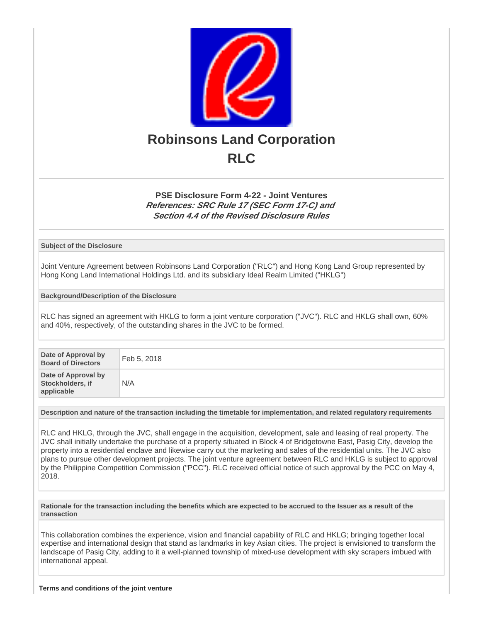

## **PSE Disclosure Form 4-22 - Joint Ventures References: SRC Rule 17 (SEC Form 17-C) and Section 4.4 of the Revised Disclosure Rules**

**Subject of the Disclosure**

Joint Venture Agreement between Robinsons Land Corporation ("RLC") and Hong Kong Land Group represented by Hong Kong Land International Holdings Ltd. and its subsidiary Ideal Realm Limited ("HKLG")

**Background/Description of the Disclosure**

RLC has signed an agreement with HKLG to form a joint venture corporation ("JVC"). RLC and HKLG shall own, 60% and 40%, respectively, of the outstanding shares in the JVC to be formed.

| Date of Approval by<br><b>Board of Directors</b>      | Feb 5, 2018 |
|-------------------------------------------------------|-------------|
| Date of Approval by<br>Stockholders, if<br>applicable | N/A         |

**Description and nature of the transaction including the timetable for implementation, and related regulatory requirements**

RLC and HKLG, through the JVC, shall engage in the acquisition, development, sale and leasing of real property. The JVC shall initially undertake the purchase of a property situated in Block 4 of Bridgetowne East, Pasig City, develop the property into a residential enclave and likewise carry out the marketing and sales of the residential units. The JVC also plans to pursue other development projects. The joint venture agreement between RLC and HKLG is subject to approval by the Philippine Competition Commission ("PCC"). RLC received official notice of such approval by the PCC on May 4, 2018.

**Rationale for the transaction including the benefits which are expected to be accrued to the Issuer as a result of the transaction**

This collaboration combines the experience, vision and financial capability of RLC and HKLG; bringing together local expertise and international design that stand as landmarks in key Asian cities. The project is envisioned to transform the landscape of Pasig City, adding to it a well-planned township of mixed-use development with sky scrapers imbued with international appeal.